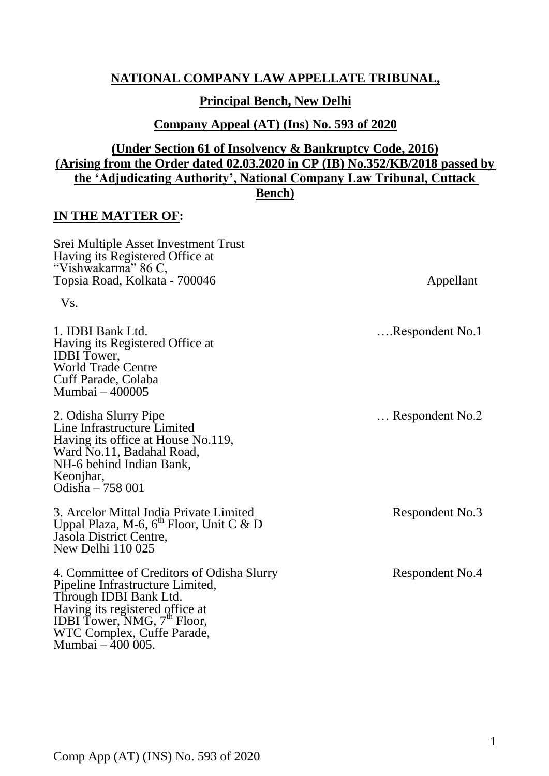## **NATIONAL COMPANY LAW APPELLATE TRIBUNAL,**

#### **Principal Bench, New Delhi**

**Company Appeal (AT) (Ins) No. 593 of 2020**

## **(Under Section 61 of Insolvency & Bankruptcy Code, 2016) (Arising from the Order dated 02.03.2020 in CP (IB) No.352/KB/2018 passed by the 'Adjudicating Authority', National Company Law Tribunal, Cuttack Bench)**

#### **IN THE MATTER OF:**

Srei Multiple Asset Investment Trust Having its Registered Office at "Vishwakarma" 86 C, Topsia Road, Kolkata - 700046 Appellant Vs. 1. IDBI Bank Ltd. Having its Registered Office at IDBI Tower, World Trade Centre Cuff Parade, Colaba Mumbai – 400005 2. Odisha Slurry Pipe Line Infrastructure Limited Having its office at House No.119, Ward No.11, Badahal Road, NH-6 behind Indian Bank, Keonjhar, Odisha – 758 001 ….Respondent No.1 … Respondent No.2 3. Arcelor Mittal India Private Limited Uppal Plaza, M-6,  $6^{th}$  Floor, Unit C & D Jasola District Centre, New Delhi 110 025 Respondent No.3 4. Committee of Creditors of Odisha Slurry Pipeline Infrastructure Limited, Through IDBI Bank Ltd. Having its registered office at IDBI Tower, NMG,  $7^{\text{th}}$  Floor, WTC Complex, Cuffe Parade, Mumbai – 400 005. Respondent No.4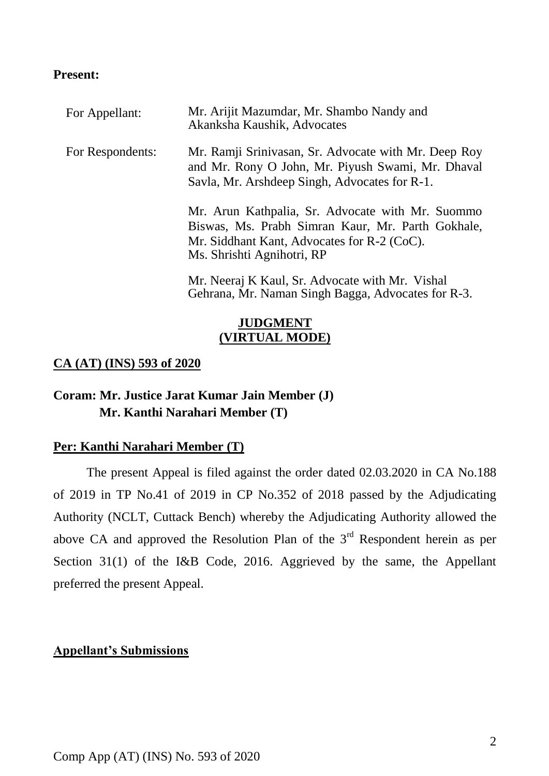## **Present:**

| For Appellant:   | Mr. Arijit Mazumdar, Mr. Shambo Nandy and<br>Akanksha Kaushik, Advocates                                                                                                             |
|------------------|--------------------------------------------------------------------------------------------------------------------------------------------------------------------------------------|
| For Respondents: | Mr. Ramji Srinivasan, Sr. Advocate with Mr. Deep Roy<br>and Mr. Rony O John, Mr. Piyush Swami, Mr. Dhaval<br>Savla, Mr. Arshdeep Singh, Advocates for R-1.                           |
|                  | Mr. Arun Kathpalia, Sr. Advocate with Mr. Suommo<br>Biswas, Ms. Prabh Simran Kaur, Mr. Parth Gokhale,<br>Mr. Siddhant Kant, Advocates for $R-2$ (CoC).<br>Ms. Shrishti Agnihotri, RP |
|                  | Mr. Neeraj K Kaul, Sr. Advocate with Mr. Vishal<br>Gehrana, Mr. Naman Singh Bagga, Advocates for R-3.                                                                                |

# **JUDGMENT (VIRTUAL MODE)**

## **CA (AT) (INS) 593 of 2020**

# **Coram: Mr. Justice Jarat Kumar Jain Member (J) Mr. Kanthi Narahari Member (T)**

### **Per: Kanthi Narahari Member (T)**

The present Appeal is filed against the order dated 02.03.2020 in CA No.188 of 2019 in TP No.41 of 2019 in CP No.352 of 2018 passed by the Adjudicating Authority (NCLT, Cuttack Bench) whereby the Adjudicating Authority allowed the above CA and approved the Resolution Plan of the  $3<sup>rd</sup>$  Respondent herein as per Section 31(1) of the I&B Code, 2016. Aggrieved by the same, the Appellant preferred the present Appeal.

### **Appellant's Submissions**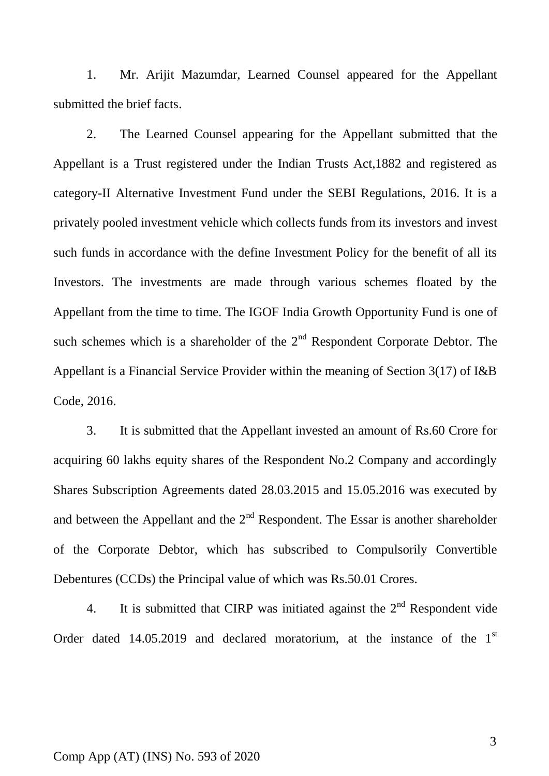1. Mr. Arijit Mazumdar, Learned Counsel appeared for the Appellant submitted the brief facts.

2. The Learned Counsel appearing for the Appellant submitted that the Appellant is a Trust registered under the Indian Trusts Act,1882 and registered as category-II Alternative Investment Fund under the SEBI Regulations, 2016. It is a privately pooled investment vehicle which collects funds from its investors and invest such funds in accordance with the define Investment Policy for the benefit of all its Investors. The investments are made through various schemes floated by the Appellant from the time to time. The IGOF India Growth Opportunity Fund is one of such schemes which is a shareholder of the  $2<sup>nd</sup>$  Respondent Corporate Debtor. The Appellant is a Financial Service Provider within the meaning of Section 3(17) of I&B Code, 2016.

3. It is submitted that the Appellant invested an amount of Rs.60 Crore for acquiring 60 lakhs equity shares of the Respondent No.2 Company and accordingly Shares Subscription Agreements dated 28.03.2015 and 15.05.2016 was executed by and between the Appellant and the  $2<sup>nd</sup>$  Respondent. The Essar is another shareholder of the Corporate Debtor, which has subscribed to Compulsorily Convertible Debentures (CCDs) the Principal value of which was Rs.50.01 Crores.

4. It is submitted that CIRP was initiated against the  $2<sup>nd</sup>$  Respondent vide Order dated  $14.05.2019$  and declared moratorium, at the instance of the  $1<sup>st</sup>$ 

#### Comp App (AT) (INS) No. 593 of 2020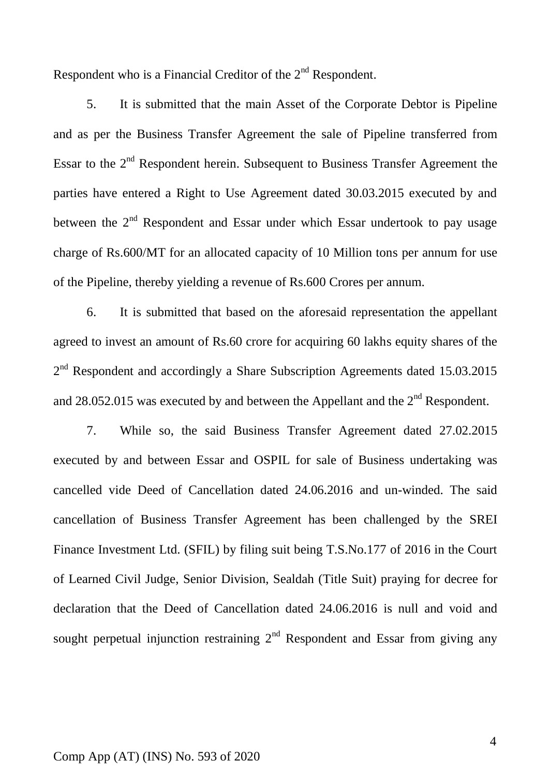Respondent who is a Financial Creditor of the  $2<sup>nd</sup>$  Respondent.

5. It is submitted that the main Asset of the Corporate Debtor is Pipeline and as per the Business Transfer Agreement the sale of Pipeline transferred from Essar to the  $2<sup>nd</sup>$  Respondent herein. Subsequent to Business Transfer Agreement the parties have entered a Right to Use Agreement dated 30.03.2015 executed by and between the  $2<sup>nd</sup>$  Respondent and Essar under which Essar undertook to pay usage charge of Rs.600/MT for an allocated capacity of 10 Million tons per annum for use of the Pipeline, thereby yielding a revenue of Rs.600 Crores per annum.

6. It is submitted that based on the aforesaid representation the appellant agreed to invest an amount of Rs.60 crore for acquiring 60 lakhs equity shares of the 2<sup>nd</sup> Respondent and accordingly a Share Subscription Agreements dated 15.03.2015 and 28.052.015 was executed by and between the Appellant and the  $2<sup>nd</sup>$  Respondent.

7. While so, the said Business Transfer Agreement dated 27.02.2015 executed by and between Essar and OSPIL for sale of Business undertaking was cancelled vide Deed of Cancellation dated 24.06.2016 and un-winded. The said cancellation of Business Transfer Agreement has been challenged by the SREI Finance Investment Ltd. (SFIL) by filing suit being T.S.No.177 of 2016 in the Court of Learned Civil Judge, Senior Division, Sealdah (Title Suit) praying for decree for declaration that the Deed of Cancellation dated 24.06.2016 is null and void and sought perpetual injunction restraining  $2<sup>nd</sup>$  Respondent and Essar from giving any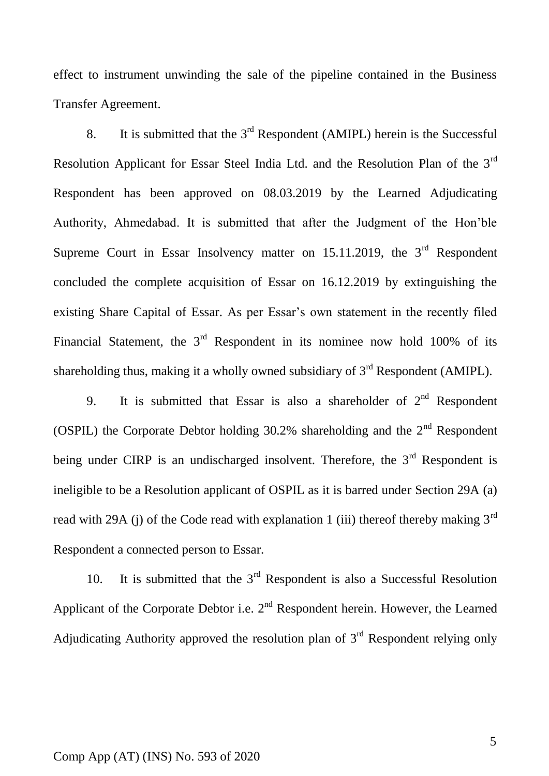effect to instrument unwinding the sale of the pipeline contained in the Business Transfer Agreement.

8. It is submitted that the  $3<sup>rd</sup>$  Respondent (AMIPL) herein is the Successful Resolution Applicant for Essar Steel India Ltd. and the Resolution Plan of the 3rd Respondent has been approved on 08.03.2019 by the Learned Adjudicating Authority, Ahmedabad. It is submitted that after the Judgment of the Hon'ble Supreme Court in Essar Insolvency matter on  $15.11.2019$ , the  $3<sup>rd</sup>$  Respondent concluded the complete acquisition of Essar on 16.12.2019 by extinguishing the existing Share Capital of Essar. As per Essar's own statement in the recently filed Financial Statement, the  $3<sup>rd</sup>$  Respondent in its nominee now hold 100% of its shareholding thus, making it a wholly owned subsidiary of  $3<sup>rd</sup>$  Respondent (AMIPL).

9. It is submitted that Essar is also a shareholder of  $2<sup>nd</sup>$  Respondent (OSPIL) the Corporate Debtor holding  $30.2\%$  shareholding and the  $2<sup>nd</sup>$  Respondent being under CIRP is an undischarged insolvent. Therefore, the  $3<sup>rd</sup>$  Respondent is ineligible to be a Resolution applicant of OSPIL as it is barred under Section 29A (a) read with 29A (j) of the Code read with explanation 1 (iii) thereof thereby making  $3<sup>rd</sup>$ Respondent a connected person to Essar.

10. It is submitted that the  $3<sup>rd</sup>$  Respondent is also a Successful Resolution Applicant of the Corporate Debtor i.e.  $2<sup>nd</sup>$  Respondent herein. However, the Learned Adjudicating Authority approved the resolution plan of  $3<sup>rd</sup>$  Respondent relying only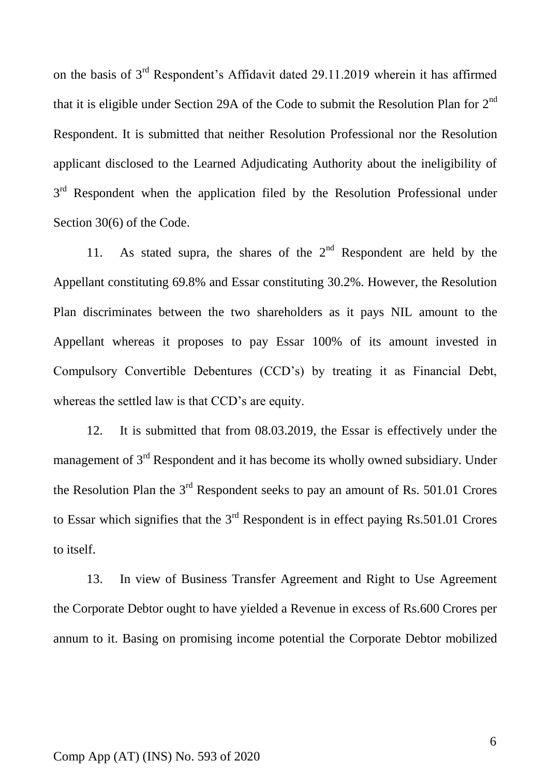on the basis of 3rd Respondent's Affidavit dated 29.11.2019 wherein it has affirmed that it is eligible under Section 29A of the Code to submit the Resolution Plan for  $2^{nd}$ Respondent. It is submitted that neither Resolution Professional nor the Resolution applicant disclosed to the Learned Adjudicating Authority about the ineligibility of 3<sup>rd</sup> Respondent when the application filed by the Resolution Professional under Section 30(6) of the Code.

11. As stated supra, the shares of the  $2<sup>nd</sup>$  Respondent are held by the Appellant constituting 69.8% and Essar constituting 30.2%. However, the Resolution Plan discriminates between the two shareholders as it pays NIL amount to the Appellant whereas it proposes to pay Essar 100% of its amount invested in Compulsory Convertible Debentures (CCD's) by treating it as Financial Debt, whereas the settled law is that CCD's are equity.

12. It is submitted that from 08.03.2019, the Essar is effectively under the management of  $3<sup>rd</sup>$  Respondent and it has become its wholly owned subsidiary. Under the Resolution Plan the  $3<sup>rd</sup>$  Respondent seeks to pay an amount of Rs. 501.01 Crores to Essar which signifies that the  $3<sup>rd</sup>$  Respondent is in effect paying Rs.501.01 Crores to itself.

13. In view of Business Transfer Agreement and Right to Use Agreement the Corporate Debtor ought to have yielded a Revenue in excess of Rs.600 Crores per annum to it. Basing on promising income potential the Corporate Debtor mobilized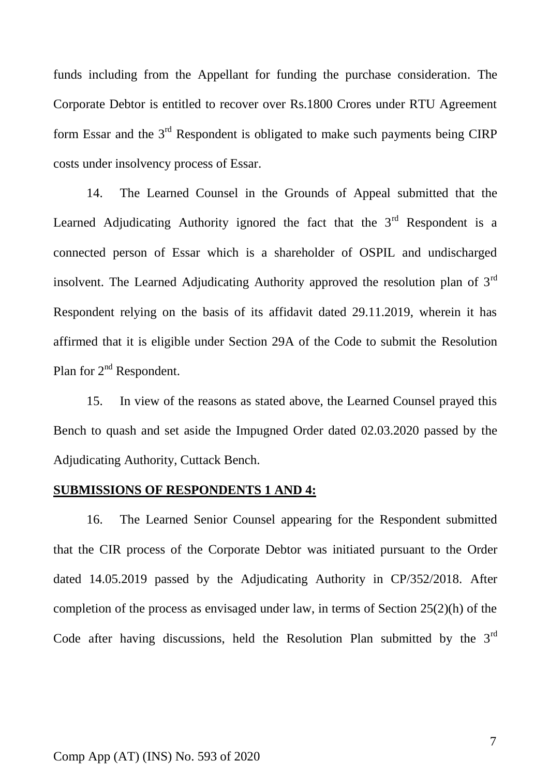funds including from the Appellant for funding the purchase consideration. The Corporate Debtor is entitled to recover over Rs.1800 Crores under RTU Agreement form Essar and the  $3<sup>rd</sup>$  Respondent is obligated to make such payments being CIRP costs under insolvency process of Essar.

14. The Learned Counsel in the Grounds of Appeal submitted that the Learned Adjudicating Authority ignored the fact that the  $3<sup>rd</sup>$  Respondent is a connected person of Essar which is a shareholder of OSPIL and undischarged insolvent. The Learned Adjudicating Authority approved the resolution plan of  $3<sup>rd</sup>$ Respondent relying on the basis of its affidavit dated 29.11.2019, wherein it has affirmed that it is eligible under Section 29A of the Code to submit the Resolution Plan for 2<sup>nd</sup> Respondent.

15. In view of the reasons as stated above, the Learned Counsel prayed this Bench to quash and set aside the Impugned Order dated 02.03.2020 passed by the Adjudicating Authority, Cuttack Bench.

#### **SUBMISSIONS OF RESPONDENTS 1 AND 4:**

16. The Learned Senior Counsel appearing for the Respondent submitted that the CIR process of the Corporate Debtor was initiated pursuant to the Order dated 14.05.2019 passed by the Adjudicating Authority in CP/352/2018. After completion of the process as envisaged under law, in terms of Section 25(2)(h) of the Code after having discussions, held the Resolution Plan submitted by the  $3<sup>rd</sup>$ 

#### Comp App (AT) (INS) No. 593 of 2020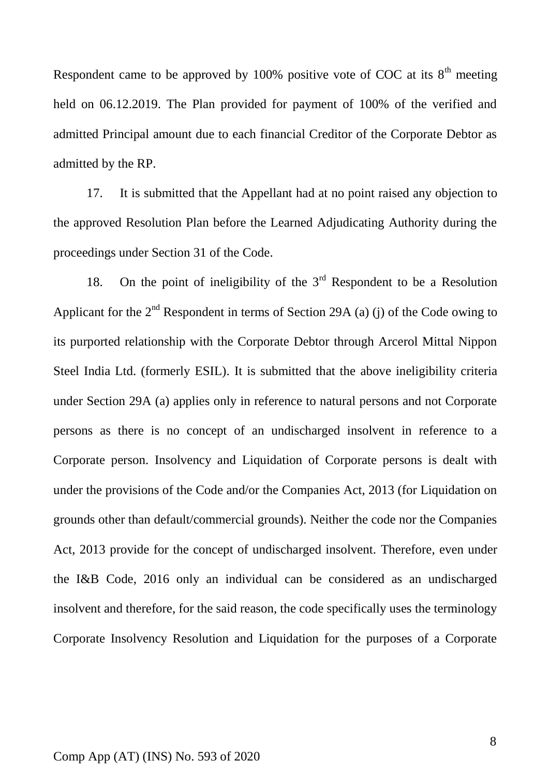Respondent came to be approved by 100% positive vote of COC at its  $8<sup>th</sup>$  meeting held on 06.12.2019. The Plan provided for payment of 100% of the verified and admitted Principal amount due to each financial Creditor of the Corporate Debtor as admitted by the RP.

17. It is submitted that the Appellant had at no point raised any objection to the approved Resolution Plan before the Learned Adjudicating Authority during the proceedings under Section 31 of the Code.

18. On the point of ineligibility of the  $3<sup>rd</sup>$  Respondent to be a Resolution Applicant for the  $2<sup>nd</sup>$  Respondent in terms of Section 29A (a) (j) of the Code owing to its purported relationship with the Corporate Debtor through Arcerol Mittal Nippon Steel India Ltd. (formerly ESIL). It is submitted that the above ineligibility criteria under Section 29A (a) applies only in reference to natural persons and not Corporate persons as there is no concept of an undischarged insolvent in reference to a Corporate person. Insolvency and Liquidation of Corporate persons is dealt with under the provisions of the Code and/or the Companies Act, 2013 (for Liquidation on grounds other than default/commercial grounds). Neither the code nor the Companies Act, 2013 provide for the concept of undischarged insolvent. Therefore, even under the I&B Code, 2016 only an individual can be considered as an undischarged insolvent and therefore, for the said reason, the code specifically uses the terminology Corporate Insolvency Resolution and Liquidation for the purposes of a Corporate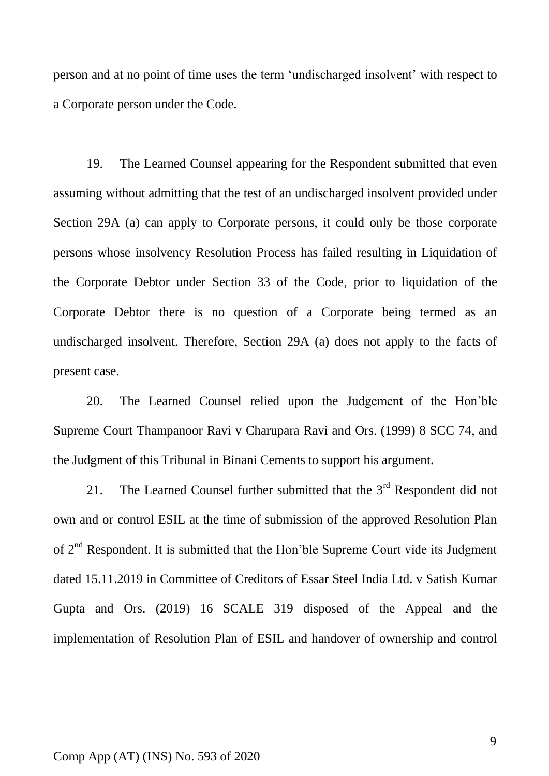person and at no point of time uses the term 'undischarged insolvent' with respect to a Corporate person under the Code.

19. The Learned Counsel appearing for the Respondent submitted that even assuming without admitting that the test of an undischarged insolvent provided under Section 29A (a) can apply to Corporate persons, it could only be those corporate persons whose insolvency Resolution Process has failed resulting in Liquidation of the Corporate Debtor under Section 33 of the Code, prior to liquidation of the Corporate Debtor there is no question of a Corporate being termed as an undischarged insolvent. Therefore, Section 29A (a) does not apply to the facts of present case.

20. The Learned Counsel relied upon the Judgement of the Hon'ble Supreme Court Thampanoor Ravi v Charupara Ravi and Ors. (1999) 8 SCC 74, and the Judgment of this Tribunal in Binani Cements to support his argument.

21. The Learned Counsel further submitted that the  $3<sup>rd</sup>$  Respondent did not own and or control ESIL at the time of submission of the approved Resolution Plan of  $2<sup>nd</sup>$  Respondent. It is submitted that the Hon'ble Supreme Court vide its Judgment dated 15.11.2019 in Committee of Creditors of Essar Steel India Ltd. v Satish Kumar Gupta and Ors. (2019) 16 SCALE 319 disposed of the Appeal and the implementation of Resolution Plan of ESIL and handover of ownership and control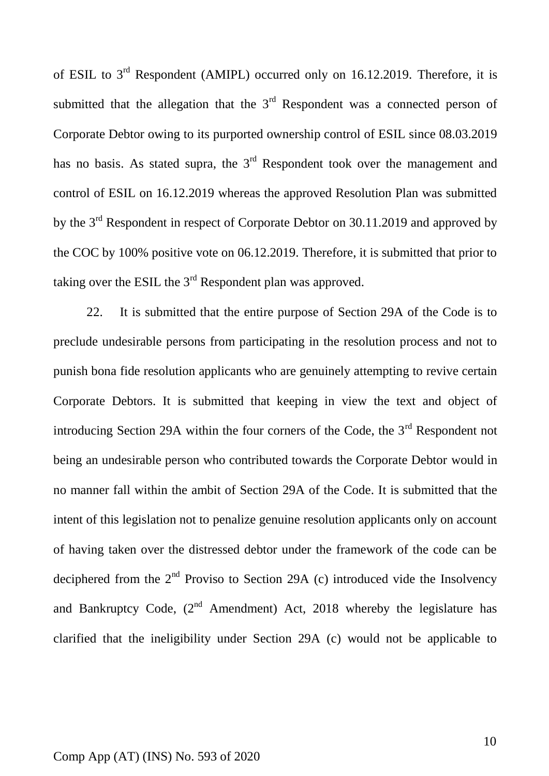of ESIL to 3rd Respondent (AMIPL) occurred only on 16.12.2019. Therefore, it is submitted that the allegation that the  $3<sup>rd</sup>$  Respondent was a connected person of Corporate Debtor owing to its purported ownership control of ESIL since 08.03.2019 has no basis. As stated supra, the  $3<sup>rd</sup>$  Respondent took over the management and control of ESIL on 16.12.2019 whereas the approved Resolution Plan was submitted by the 3<sup>rd</sup> Respondent in respect of Corporate Debtor on 30.11.2019 and approved by the COC by 100% positive vote on 06.12.2019. Therefore, it is submitted that prior to taking over the ESIL the  $3<sup>rd</sup>$  Respondent plan was approved.

22. It is submitted that the entire purpose of Section 29A of the Code is to preclude undesirable persons from participating in the resolution process and not to punish bona fide resolution applicants who are genuinely attempting to revive certain Corporate Debtors. It is submitted that keeping in view the text and object of introducing Section 29A within the four corners of the Code, the  $3<sup>rd</sup>$  Respondent not being an undesirable person who contributed towards the Corporate Debtor would in no manner fall within the ambit of Section 29A of the Code. It is submitted that the intent of this legislation not to penalize genuine resolution applicants only on account of having taken over the distressed debtor under the framework of the code can be deciphered from the  $2<sup>nd</sup>$  Proviso to Section 29A (c) introduced vide the Insolvency and Bankruptcy Code,  $(2^{nd}$  Amendment) Act, 2018 whereby the legislature has clarified that the ineligibility under Section 29A (c) would not be applicable to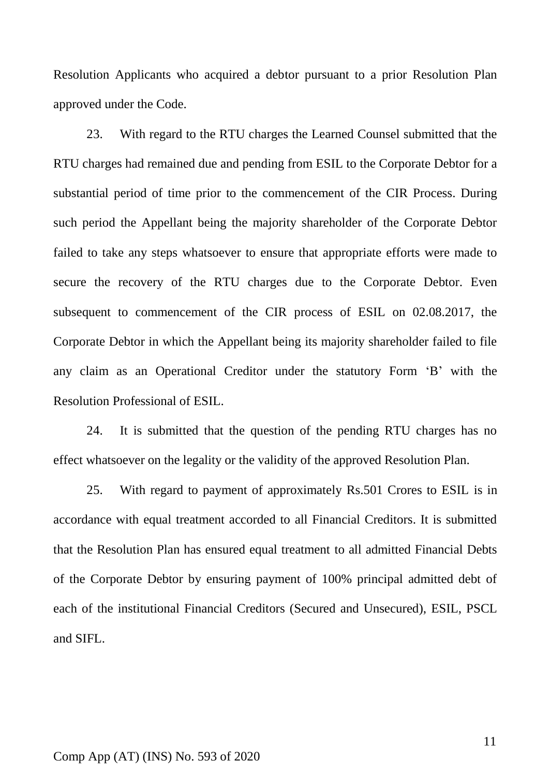Resolution Applicants who acquired a debtor pursuant to a prior Resolution Plan approved under the Code.

23. With regard to the RTU charges the Learned Counsel submitted that the RTU charges had remained due and pending from ESIL to the Corporate Debtor for a substantial period of time prior to the commencement of the CIR Process. During such period the Appellant being the majority shareholder of the Corporate Debtor failed to take any steps whatsoever to ensure that appropriate efforts were made to secure the recovery of the RTU charges due to the Corporate Debtor. Even subsequent to commencement of the CIR process of ESIL on 02.08.2017, the Corporate Debtor in which the Appellant being its majority shareholder failed to file any claim as an Operational Creditor under the statutory Form 'B' with the Resolution Professional of ESIL.

24. It is submitted that the question of the pending RTU charges has no effect whatsoever on the legality or the validity of the approved Resolution Plan.

25. With regard to payment of approximately Rs.501 Crores to ESIL is in accordance with equal treatment accorded to all Financial Creditors. It is submitted that the Resolution Plan has ensured equal treatment to all admitted Financial Debts of the Corporate Debtor by ensuring payment of 100% principal admitted debt of each of the institutional Financial Creditors (Secured and Unsecured), ESIL, PSCL and SIFL.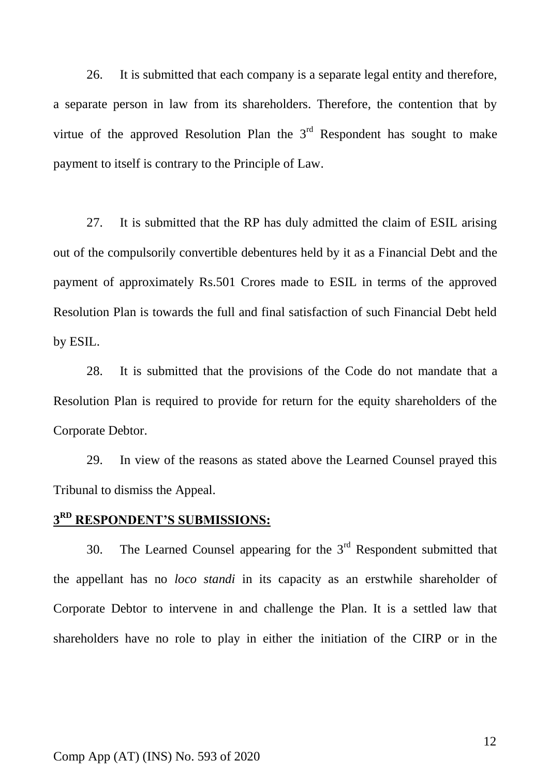26. It is submitted that each company is a separate legal entity and therefore, a separate person in law from its shareholders. Therefore, the contention that by virtue of the approved Resolution Plan the  $3<sup>rd</sup>$  Respondent has sought to make payment to itself is contrary to the Principle of Law.

27. It is submitted that the RP has duly admitted the claim of ESIL arising out of the compulsorily convertible debentures held by it as a Financial Debt and the payment of approximately Rs.501 Crores made to ESIL in terms of the approved Resolution Plan is towards the full and final satisfaction of such Financial Debt held by ESIL.

28. It is submitted that the provisions of the Code do not mandate that a Resolution Plan is required to provide for return for the equity shareholders of the Corporate Debtor.

29. In view of the reasons as stated above the Learned Counsel prayed this Tribunal to dismiss the Appeal.

# **3 RD RESPONDENT'S SUBMISSIONS:**

30. The Learned Counsel appearing for the  $3<sup>rd</sup>$  Respondent submitted that the appellant has no *loco standi* in its capacity as an erstwhile shareholder of Corporate Debtor to intervene in and challenge the Plan. It is a settled law that shareholders have no role to play in either the initiation of the CIRP or in the

#### Comp App (AT) (INS) No. 593 of 2020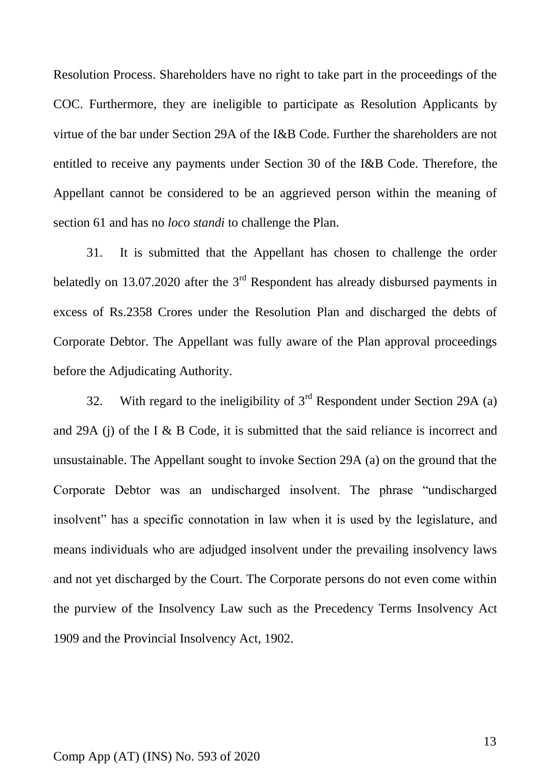Resolution Process. Shareholders have no right to take part in the proceedings of the COC. Furthermore, they are ineligible to participate as Resolution Applicants by virtue of the bar under Section 29A of the I&B Code. Further the shareholders are not entitled to receive any payments under Section 30 of the I&B Code. Therefore, the Appellant cannot be considered to be an aggrieved person within the meaning of section 61 and has no *loco standi* to challenge the Plan.

31. It is submitted that the Appellant has chosen to challenge the order belatedly on 13.07.2020 after the  $3<sup>rd</sup>$  Respondent has already disbursed payments in excess of Rs.2358 Crores under the Resolution Plan and discharged the debts of Corporate Debtor. The Appellant was fully aware of the Plan approval proceedings before the Adjudicating Authority.

32. With regard to the ineligibility of  $3<sup>rd</sup>$  Respondent under Section 29A (a) and 29A (j) of the I & B Code, it is submitted that the said reliance is incorrect and unsustainable. The Appellant sought to invoke Section 29A (a) on the ground that the Corporate Debtor was an undischarged insolvent. The phrase "undischarged insolvent" has a specific connotation in law when it is used by the legislature, and means individuals who are adjudged insolvent under the prevailing insolvency laws and not yet discharged by the Court. The Corporate persons do not even come within the purview of the Insolvency Law such as the Precedency Terms Insolvency Act 1909 and the Provincial Insolvency Act, 1902.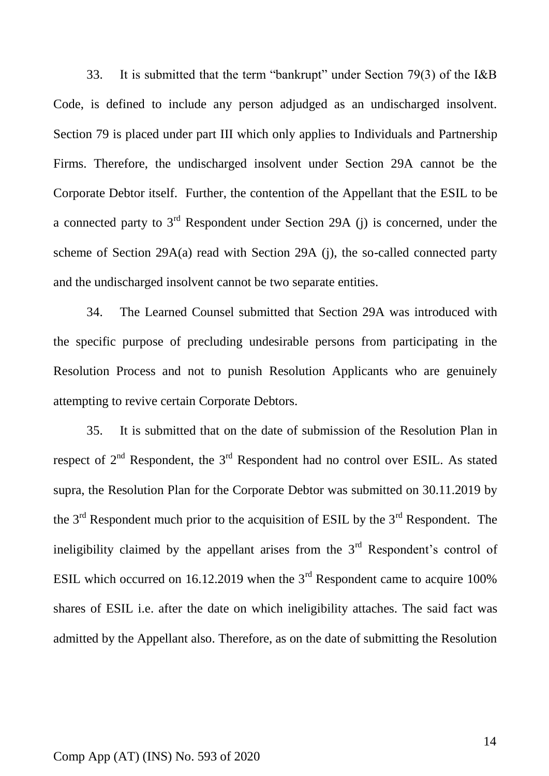33. It is submitted that the term "bankrupt" under Section 79(3) of the I&B Code, is defined to include any person adjudged as an undischarged insolvent. Section 79 is placed under part III which only applies to Individuals and Partnership Firms. Therefore, the undischarged insolvent under Section 29A cannot be the Corporate Debtor itself. Further, the contention of the Appellant that the ESIL to be a connected party to  $3<sup>rd</sup>$  Respondent under Section 29A (j) is concerned, under the scheme of Section 29A(a) read with Section 29A (j), the so-called connected party and the undischarged insolvent cannot be two separate entities.

34. The Learned Counsel submitted that Section 29A was introduced with the specific purpose of precluding undesirable persons from participating in the Resolution Process and not to punish Resolution Applicants who are genuinely attempting to revive certain Corporate Debtors.

35. It is submitted that on the date of submission of the Resolution Plan in respect of  $2<sup>nd</sup>$  Respondent, the  $3<sup>rd</sup>$  Respondent had no control over ESIL. As stated supra, the Resolution Plan for the Corporate Debtor was submitted on 30.11.2019 by the  $3<sup>rd</sup>$  Respondent much prior to the acquisition of ESIL by the  $3<sup>rd</sup>$  Respondent. The ineligibility claimed by the appellant arises from the  $3<sup>rd</sup>$  Respondent's control of ESIL which occurred on 16.12.2019 when the  $3<sup>rd</sup>$  Respondent came to acquire 100% shares of ESIL i.e. after the date on which ineligibility attaches. The said fact was admitted by the Appellant also. Therefore, as on the date of submitting the Resolution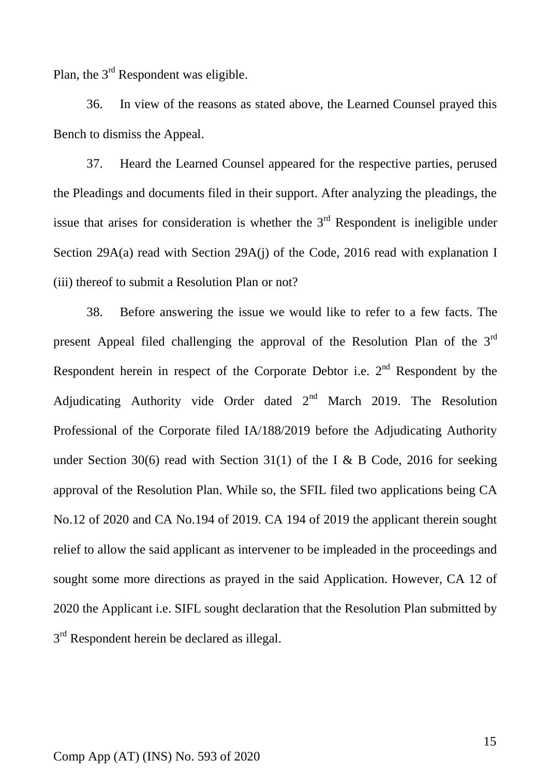Plan, the 3<sup>rd</sup> Respondent was eligible.

36. In view of the reasons as stated above, the Learned Counsel prayed this Bench to dismiss the Appeal.

37. Heard the Learned Counsel appeared for the respective parties, perused the Pleadings and documents filed in their support. After analyzing the pleadings, the issue that arises for consideration is whether the  $3<sup>rd</sup>$  Respondent is ineligible under Section 29A(a) read with Section 29A(j) of the Code, 2016 read with explanation I (iii) thereof to submit a Resolution Plan or not?

38. Before answering the issue we would like to refer to a few facts. The present Appeal filed challenging the approval of the Resolution Plan of the 3rd Respondent herein in respect of the Corporate Debtor i.e.  $2<sup>nd</sup>$  Respondent by the Adjudicating Authority vide Order dated  $2<sup>nd</sup>$  March 2019. The Resolution Professional of the Corporate filed IA/188/2019 before the Adjudicating Authority under Section 30(6) read with Section 31(1) of the I & B Code, 2016 for seeking approval of the Resolution Plan. While so, the SFIL filed two applications being CA No.12 of 2020 and CA No.194 of 2019. CA 194 of 2019 the applicant therein sought relief to allow the said applicant as intervener to be impleaded in the proceedings and sought some more directions as prayed in the said Application. However, CA 12 of 2020 the Applicant i.e. SIFL sought declaration that the Resolution Plan submitted by  $3<sup>rd</sup>$  Respondent herein be declared as illegal.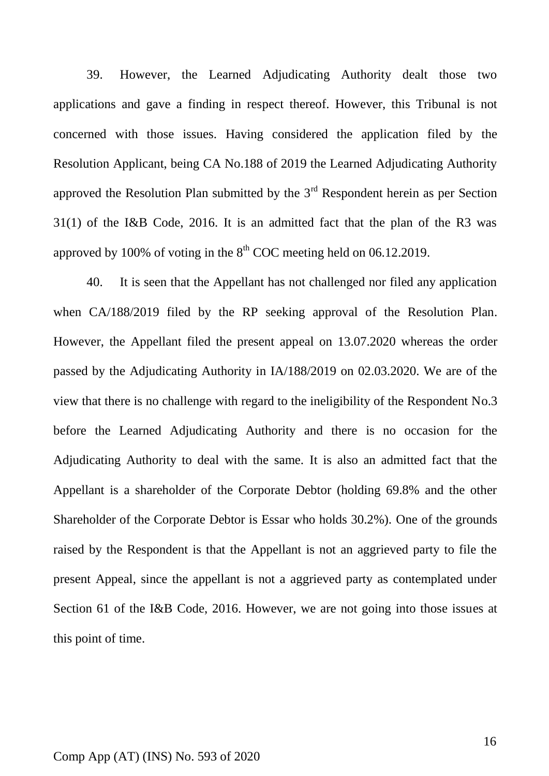39. However, the Learned Adjudicating Authority dealt those two applications and gave a finding in respect thereof. However, this Tribunal is not concerned with those issues. Having considered the application filed by the Resolution Applicant, being CA No.188 of 2019 the Learned Adjudicating Authority approved the Resolution Plan submitted by the  $3<sup>rd</sup>$  Respondent herein as per Section 31(1) of the I&B Code, 2016. It is an admitted fact that the plan of the R3 was approved by 100% of voting in the  $8<sup>th</sup>$  COC meeting held on 06.12.2019.

40. It is seen that the Appellant has not challenged nor filed any application when CA/188/2019 filed by the RP seeking approval of the Resolution Plan. However, the Appellant filed the present appeal on 13.07.2020 whereas the order passed by the Adjudicating Authority in IA/188/2019 on 02.03.2020. We are of the view that there is no challenge with regard to the ineligibility of the Respondent No.3 before the Learned Adjudicating Authority and there is no occasion for the Adjudicating Authority to deal with the same. It is also an admitted fact that the Appellant is a shareholder of the Corporate Debtor (holding 69.8% and the other Shareholder of the Corporate Debtor is Essar who holds 30.2%). One of the grounds raised by the Respondent is that the Appellant is not an aggrieved party to file the present Appeal, since the appellant is not a aggrieved party as contemplated under Section 61 of the I&B Code, 2016. However, we are not going into those issues at this point of time.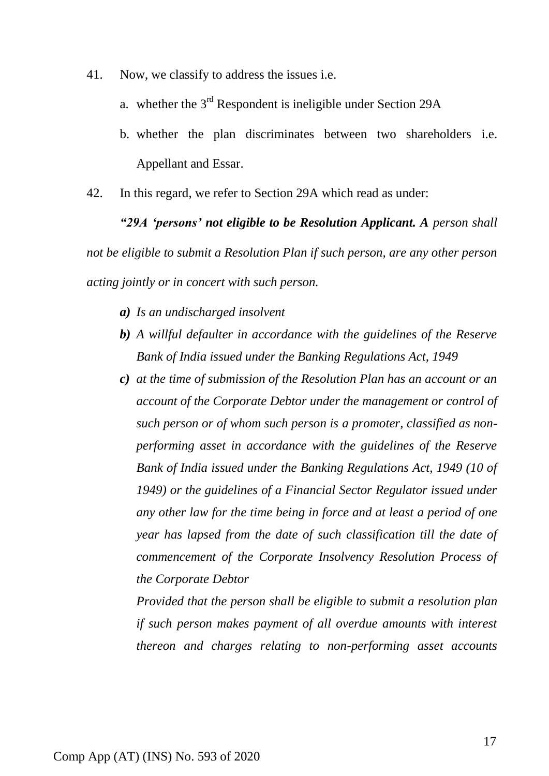- 41. Now, we classify to address the issues i.e.
	- a. whether the  $3<sup>rd</sup>$  Respondent is ineligible under Section 29A
	- b. whether the plan discriminates between two shareholders i.e. Appellant and Essar.
- 42. In this regard, we refer to Section 29A which read as under:

*"29A 'persons' not eligible to be Resolution Applicant. A person shall not be eligible to submit a Resolution Plan if such person, are any other person acting jointly or in concert with such person.*

- *a) Is an undischarged insolvent*
- *b) A willful defaulter in accordance with the guidelines of the Reserve Bank of India issued under the Banking Regulations Act, 1949*
- *c) at the time of submission of the Resolution Plan has an account or an account of the Corporate Debtor under the management or control of such person or of whom such person is a promoter, classified as nonperforming asset in accordance with the guidelines of the Reserve Bank of India issued under the Banking Regulations Act, 1949 (10 of 1949) or the guidelines of a Financial Sector Regulator issued under any other law for the time being in force and at least a period of one year has lapsed from the date of such classification till the date of commencement of the Corporate Insolvency Resolution Process of the Corporate Debtor*

*Provided that the person shall be eligible to submit a resolution plan if such person makes payment of all overdue amounts with interest thereon and charges relating to non-performing asset accounts*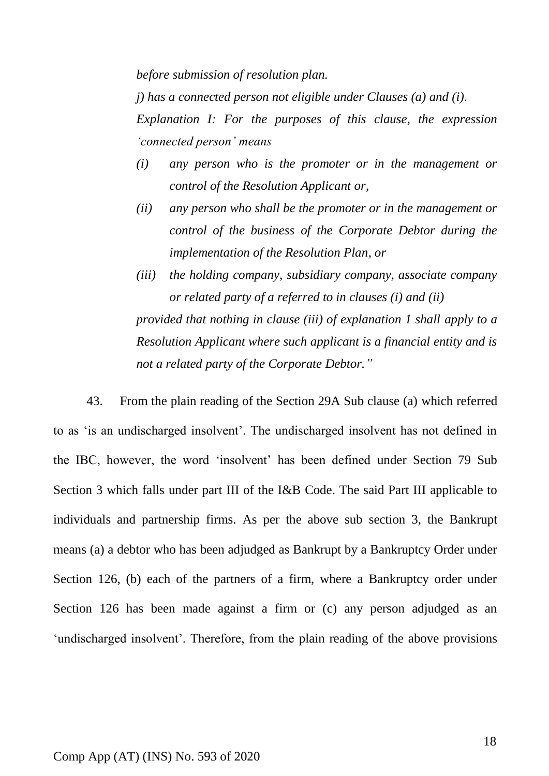*before submission of resolution plan.*

*j) has a connected person not eligible under Clauses (a) and (i).* 

*Explanation I: For the purposes of this clause, the expression 'connected person' means* 

- *(i) any person who is the promoter or in the management or control of the Resolution Applicant or,*
- *(ii) any person who shall be the promoter or in the management or control of the business of the Corporate Debtor during the implementation of the Resolution Plan, or*
- *(iii) the holding company, subsidiary company, associate company or related party of a referred to in clauses (i) and (ii) provided that nothing in clause (iii) of explanation 1 shall apply to a Resolution Applicant where such applicant is a financial entity and is not a related party of the Corporate Debtor."*

43. From the plain reading of the Section 29A Sub clause (a) which referred to as 'is an undischarged insolvent'. The undischarged insolvent has not defined in the IBC, however, the word 'insolvent' has been defined under Section 79 Sub Section 3 which falls under part III of the I&B Code. The said Part III applicable to individuals and partnership firms. As per the above sub section 3, the Bankrupt means (a) a debtor who has been adjudged as Bankrupt by a Bankruptcy Order under Section 126, (b) each of the partners of a firm, where a Bankruptcy order under Section 126 has been made against a firm or (c) any person adjudged as an 'undischarged insolvent'. Therefore, from the plain reading of the above provisions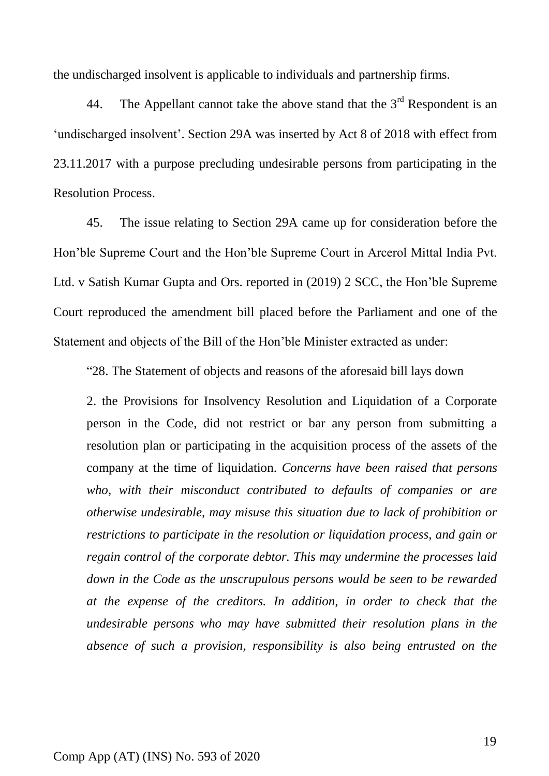the undischarged insolvent is applicable to individuals and partnership firms.

44. The Appellant cannot take the above stand that the  $3<sup>rd</sup>$  Respondent is an 'undischarged insolvent'. Section 29A was inserted by Act 8 of 2018 with effect from 23.11.2017 with a purpose precluding undesirable persons from participating in the Resolution Process.

45. The issue relating to Section 29A came up for consideration before the Hon'ble Supreme Court and the Hon'ble Supreme Court in Arcerol Mittal India Pvt. Ltd. v Satish Kumar Gupta and Ors. reported in (2019) 2 SCC, the Hon'ble Supreme Court reproduced the amendment bill placed before the Parliament and one of the Statement and objects of the Bill of the Hon'ble Minister extracted as under:

"28. The Statement of objects and reasons of the aforesaid bill lays down

2. the Provisions for Insolvency Resolution and Liquidation of a Corporate person in the Code, did not restrict or bar any person from submitting a resolution plan or participating in the acquisition process of the assets of the company at the time of liquidation. *Concerns have been raised that persons who, with their misconduct contributed to defaults of companies or are otherwise undesirable, may misuse this situation due to lack of prohibition or restrictions to participate in the resolution or liquidation process, and gain or regain control of the corporate debtor. This may undermine the processes laid down in the Code as the unscrupulous persons would be seen to be rewarded at the expense of the creditors. In addition, in order to check that the undesirable persons who may have submitted their resolution plans in the absence of such a provision, responsibility is also being entrusted on the*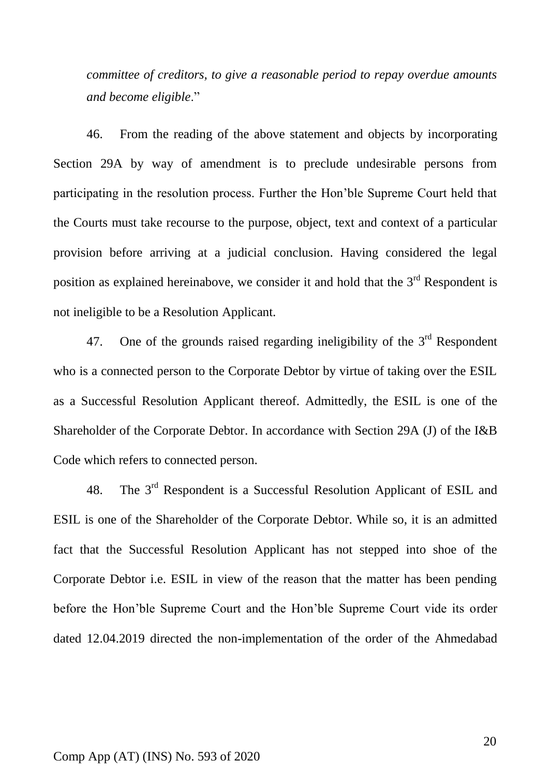*committee of creditors, to give a reasonable period to repay overdue amounts and become eligible*."

46. From the reading of the above statement and objects by incorporating Section 29A by way of amendment is to preclude undesirable persons from participating in the resolution process. Further the Hon'ble Supreme Court held that the Courts must take recourse to the purpose, object, text and context of a particular provision before arriving at a judicial conclusion. Having considered the legal position as explained hereinabove, we consider it and hold that the  $3<sup>rd</sup>$  Respondent is not ineligible to be a Resolution Applicant.

47. One of the grounds raised regarding ineligibility of the  $3<sup>rd</sup>$  Respondent who is a connected person to the Corporate Debtor by virtue of taking over the ESIL as a Successful Resolution Applicant thereof. Admittedly, the ESIL is one of the Shareholder of the Corporate Debtor. In accordance with Section 29A (J) of the I&B Code which refers to connected person.

48. The 3rd Respondent is a Successful Resolution Applicant of ESIL and ESIL is one of the Shareholder of the Corporate Debtor. While so, it is an admitted fact that the Successful Resolution Applicant has not stepped into shoe of the Corporate Debtor i.e. ESIL in view of the reason that the matter has been pending before the Hon'ble Supreme Court and the Hon'ble Supreme Court vide its order dated 12.04.2019 directed the non-implementation of the order of the Ahmedabad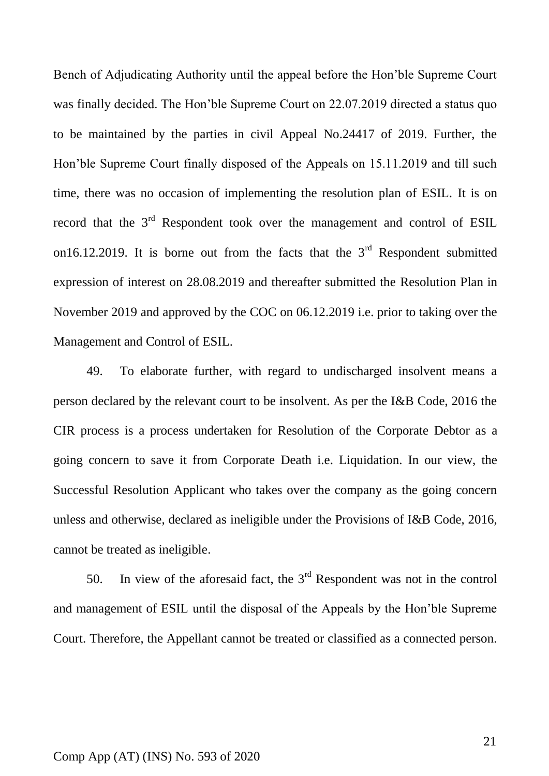Bench of Adjudicating Authority until the appeal before the Hon'ble Supreme Court was finally decided. The Hon'ble Supreme Court on 22.07.2019 directed a status quo to be maintained by the parties in civil Appeal No.24417 of 2019. Further, the Hon'ble Supreme Court finally disposed of the Appeals on 15.11.2019 and till such time, there was no occasion of implementing the resolution plan of ESIL. It is on record that the 3<sup>rd</sup> Respondent took over the management and control of ESIL on16.12.2019. It is borne out from the facts that the  $3<sup>rd</sup>$  Respondent submitted expression of interest on 28.08.2019 and thereafter submitted the Resolution Plan in November 2019 and approved by the COC on 06.12.2019 i.e. prior to taking over the Management and Control of ESIL.

49. To elaborate further, with regard to undischarged insolvent means a person declared by the relevant court to be insolvent. As per the I&B Code, 2016 the CIR process is a process undertaken for Resolution of the Corporate Debtor as a going concern to save it from Corporate Death i.e. Liquidation. In our view, the Successful Resolution Applicant who takes over the company as the going concern unless and otherwise, declared as ineligible under the Provisions of I&B Code, 2016, cannot be treated as ineligible.

50. In view of the aforesaid fact, the  $3<sup>rd</sup>$  Respondent was not in the control and management of ESIL until the disposal of the Appeals by the Hon'ble Supreme Court. Therefore, the Appellant cannot be treated or classified as a connected person.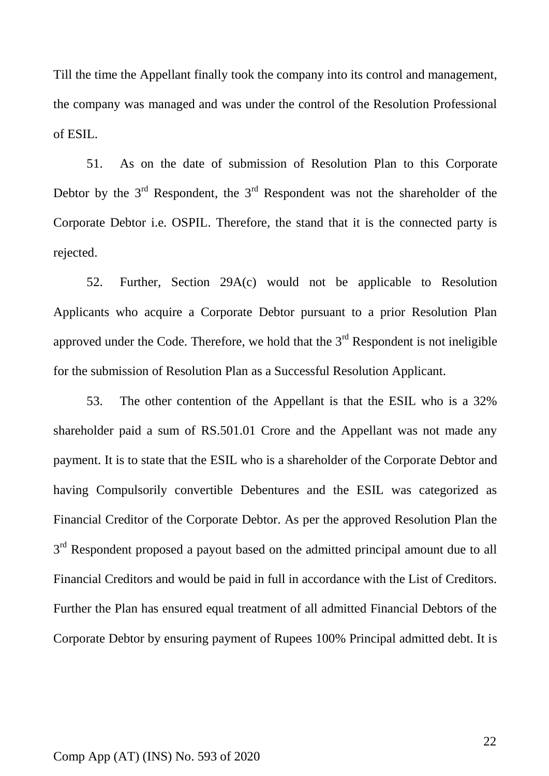Till the time the Appellant finally took the company into its control and management, the company was managed and was under the control of the Resolution Professional of ESIL.

51. As on the date of submission of Resolution Plan to this Corporate Debtor by the  $3<sup>rd</sup>$  Respondent, the  $3<sup>rd</sup>$  Respondent was not the shareholder of the Corporate Debtor i.e. OSPIL. Therefore, the stand that it is the connected party is rejected.

52. Further, Section 29A(c) would not be applicable to Resolution Applicants who acquire a Corporate Debtor pursuant to a prior Resolution Plan approved under the Code. Therefore, we hold that the  $3<sup>rd</sup>$  Respondent is not ineligible for the submission of Resolution Plan as a Successful Resolution Applicant.

53. The other contention of the Appellant is that the ESIL who is a 32% shareholder paid a sum of RS.501.01 Crore and the Appellant was not made any payment. It is to state that the ESIL who is a shareholder of the Corporate Debtor and having Compulsorily convertible Debentures and the ESIL was categorized as Financial Creditor of the Corporate Debtor. As per the approved Resolution Plan the 3<sup>rd</sup> Respondent proposed a payout based on the admitted principal amount due to all Financial Creditors and would be paid in full in accordance with the List of Creditors. Further the Plan has ensured equal treatment of all admitted Financial Debtors of the Corporate Debtor by ensuring payment of Rupees 100% Principal admitted debt. It is